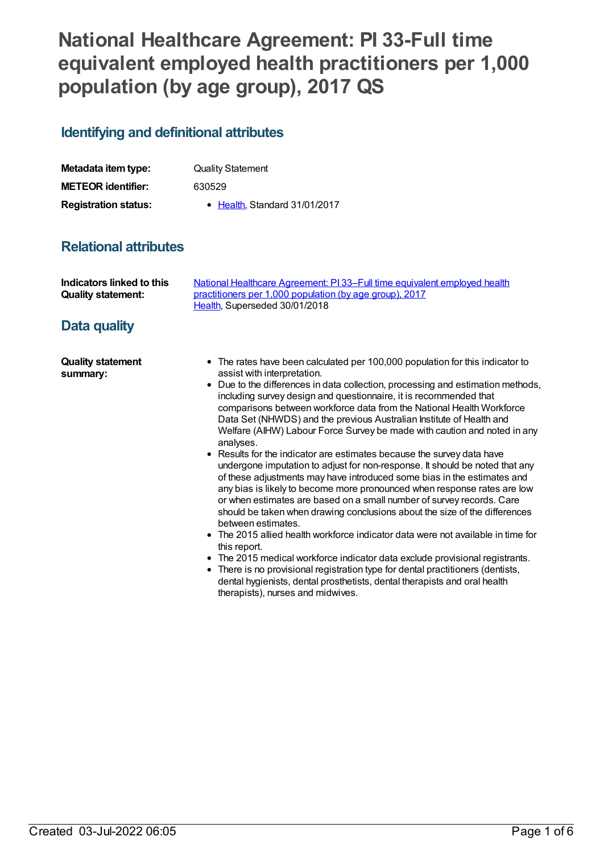# **National Healthcare Agreement: PI 33-Full time equivalent employed health practitioners per 1,000 population (by age group), 2017 QS**

## **Identifying and definitional attributes**

| Metadata item type:         | <b>Quality Statement</b>      |
|-----------------------------|-------------------------------|
| <b>METEOR identifier:</b>   | 630529                        |
| <b>Registration status:</b> | • Health, Standard 31/01/2017 |

## **Relational attributes**

| Indicators linked to this | National Healthcare Agreement: PI 33–Full time equivalent employed health |
|---------------------------|---------------------------------------------------------------------------|
| <b>Quality statement:</b> | practitioners per 1,000 population (by age group), 2017                   |
|                           | Health, Superseded 30/01/2018                                             |

## **Data quality**

**Quality statement summary:**

- The rates have been calculated per 100,000 population for this indicator to assist with interpretation.
- Due to the differences in data collection, processing and estimation methods, including survey design and questionnaire, it is recommended that comparisons between workforce data from the National Health Workforce Data Set (NHWDS) and the previous Australian Institute of Health and Welfare (AIHW) Labour Force Survey be made with caution and noted in any analyses.
- Results for the indicator are estimates because the survey data have undergone imputation to adjust for non-response. It should be noted that any of these adjustments may have introduced some bias in the estimates and any bias is likely to become more pronounced when response rates are low or when estimates are based on a small number of survey records. Care should be taken when drawing conclusions about the size of the differences between estimates.
- The 2015 allied health workforce indicator data were not available in time for this report.
- The 2015 medical workforce indicator data exclude provisional registrants.
- There is no provisional registration type for dental practitioners (dentists, dental hygienists, dental prosthetists, dental therapists and oral health therapists), nurses and midwives.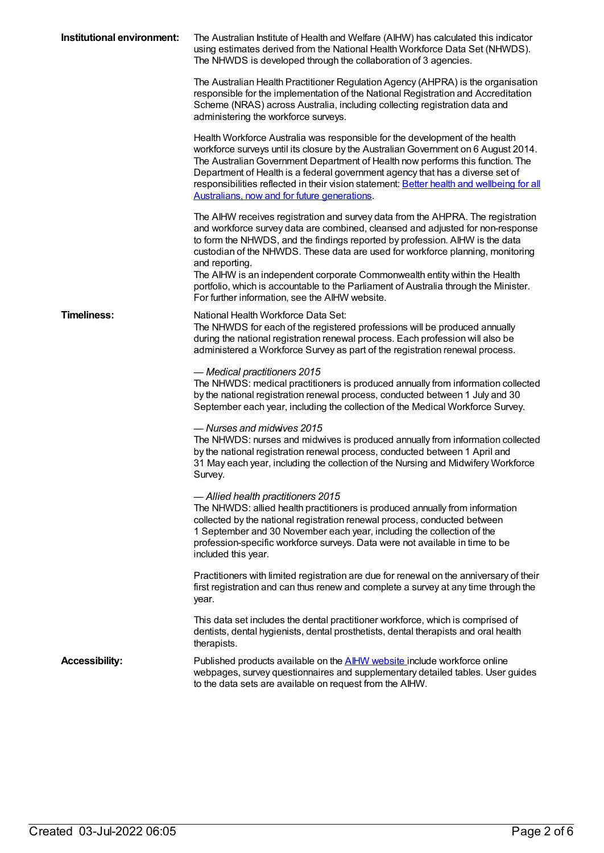| Institutional environment: | The Australian Institute of Health and Welfare (AIHW) has calculated this indicator<br>using estimates derived from the National Health Workforce Data Set (NHWDS).<br>The NHWDS is developed through the collaboration of 3 agencies.                                                                                                                                                                                                                                                                                      |
|----------------------------|-----------------------------------------------------------------------------------------------------------------------------------------------------------------------------------------------------------------------------------------------------------------------------------------------------------------------------------------------------------------------------------------------------------------------------------------------------------------------------------------------------------------------------|
|                            | The Australian Health Practitioner Regulation Agency (AHPRA) is the organisation<br>responsible for the implementation of the National Registration and Accreditation<br>Scheme (NRAS) across Australia, including collecting registration data and<br>administering the workforce surveys.                                                                                                                                                                                                                                 |
|                            | Health Workforce Australia was responsible for the development of the health<br>workforce surveys until its closure by the Australian Government on 6 August 2014.<br>The Australian Government Department of Health now performs this function. The<br>Department of Health is a federal government agency that has a diverse set of<br>responsibilities reflected in their vision statement: Better health and wellbeing for all<br>Australians, now and for future generations.                                          |
|                            | The AIHW receives registration and survey data from the AHPRA. The registration<br>and workforce survey data are combined, cleansed and adjusted for non-response<br>to form the NHWDS, and the findings reported by profession. AIHW is the data<br>custodian of the NHWDS. These data are used for workforce planning, monitoring<br>and reporting.<br>The AIHW is an independent corporate Commonwealth entity within the Health<br>portfolio, which is accountable to the Parliament of Australia through the Minister. |
| <b>Timeliness:</b>         | For further information, see the AIHW website.<br>National Health Workforce Data Set:<br>The NHWDS for each of the registered professions will be produced annually<br>during the national registration renewal process. Each profession will also be<br>administered a Workforce Survey as part of the registration renewal process.                                                                                                                                                                                       |
|                            | - Medical practitioners 2015<br>The NHWDS: medical practitioners is produced annually from information collected<br>by the national registration renewal process, conducted between 1 July and 30<br>September each year, including the collection of the Medical Workforce Survey.                                                                                                                                                                                                                                         |
|                            | - Nurses and midwives 2015<br>The NHWDS: nurses and midwives is produced annually from information collected<br>by the national registration renewal process, conducted between 1 April and<br>31 May each year, including the collection of the Nursing and Midwifery Workforce<br>Survey.                                                                                                                                                                                                                                 |
|                            | - Allied health practitioners 2015<br>The NHWDS: allied health practitioners is produced annually from information<br>collected by the national registration renewal process, conducted between<br>1 September and 30 November each year, including the collection of the<br>profession-specific workforce surveys. Data were not available in time to be<br>included this year.                                                                                                                                            |
|                            | Practitioners with limited registration are due for renewal on the anniversary of their<br>first registration and can thus renew and complete a survey at any time through the<br>year.                                                                                                                                                                                                                                                                                                                                     |
|                            | This data set includes the dental practitioner workforce, which is comprised of<br>dentists, dental hygienists, dental prosthetists, dental therapists and oral health<br>therapists.                                                                                                                                                                                                                                                                                                                                       |
| <b>Accessibility:</b>      | Published products available on the <b>AIHW</b> website include workforce online<br>webpages, survey questionnaires and supplementary detailed tables. User guides<br>to the data sets are available on request from the AIHW.                                                                                                                                                                                                                                                                                              |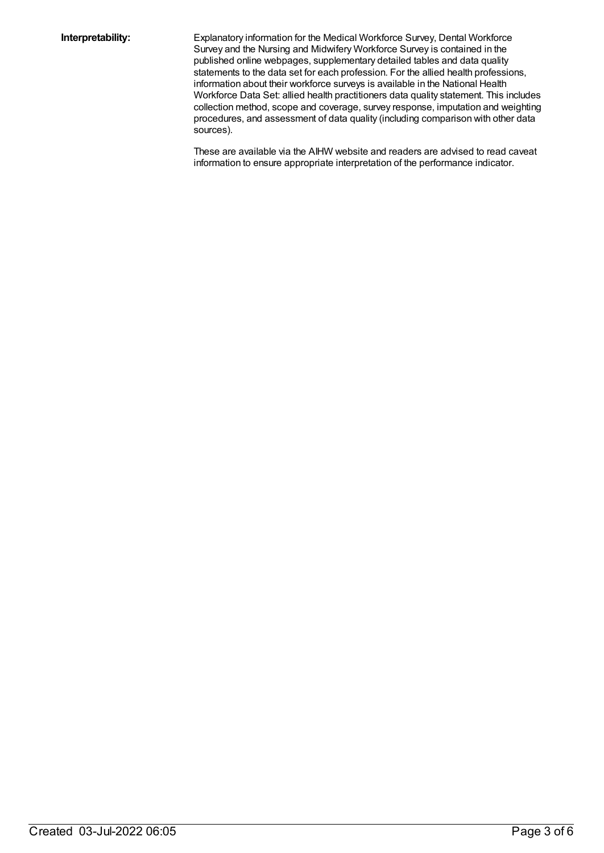**Interpretability:** Explanatory information for the Medical Workforce Survey, Dental Workforce Survey and the Nursing and Midwifery Workforce Survey is contained in the published online webpages, supplementary detailed tables and data quality statements to the data set for each profession. For the allied health professions, information about their workforce surveys is available in the National Health Workforce Data Set: allied health practitioners data quality statement. This includes collection method, scope and coverage, survey response, imputation and weighting procedures, and assessment of data quality (including comparison with other data sources).

> These are available via the AIHW website and readers are advised to read caveat information to ensure appropriate interpretation of the performance indicator.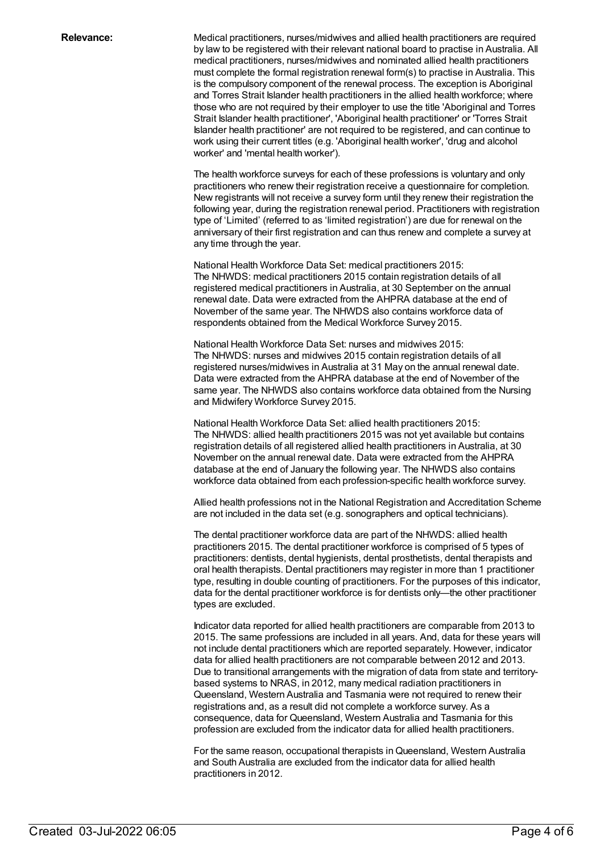**Relevance:** Medical practitioners, nurses/midwives and allied health practitioners are required by law to be registered with their relevant national board to practise in Australia. All medical practitioners, nurses/midwives and nominated allied health practitioners must complete the formal registration renewal form(s) to practise in Australia. This is the compulsory component of the renewal process. The exception is Aboriginal and Torres Strait Islander health practitioners in the allied health workforce; where those who are not required by their employer to use the title 'Aboriginal and Torres Strait Islander health practitioner', 'Aboriginal health practitioner' or 'Torres Strait Islander health practitioner' are not required to be registered, and can continue to work using their current titles (e.g. 'Aboriginal health worker', 'drug and alcohol worker' and 'mental health worker').

> The health workforce surveys for each of these professions is voluntary and only practitioners who renew their registration receive a questionnaire for completion. New registrants will not receive a survey form until they renew their registration the following year, during the registration renewal period. Practitioners with registration type of 'Limited' (referred to as 'limited registration') are due for renewal on the anniversary of their first registration and can thus renew and complete a survey at any time through the year.

National Health Workforce Data Set: medical practitioners 2015: The NHWDS: medical practitioners 2015 contain registration details of all registered medical practitioners in Australia, at 30 September on the annual renewal date. Data were extracted from the AHPRA database at the end of November of the same year. The NHWDS also contains workforce data of respondents obtained from the Medical Workforce Survey 2015.

National Health Workforce Data Set: nurses and midwives 2015: The NHWDS: nurses and midwives 2015 contain registration details of all registered nurses/midwives in Australia at 31 May on the annual renewal date. Data were extracted from the AHPRA database at the end of November of the same year. The NHWDS also contains workforce data obtained from the Nursing and Midwifery Workforce Survey 2015.

National Health Workforce Data Set: allied health practitioners 2015: The NHWDS: allied health practitioners 2015 was not yet available but contains registration details of all registered allied health practitioners in Australia, at 30 November on the annual renewal date. Data were extracted from the AHPRA database at the end of January the following year. The NHWDS also contains workforce data obtained from each profession-specific health workforce survey.

Allied health professions not in the National Registration and Accreditation Scheme are not included in the data set (e.g. sonographers and optical technicians).

The dental practitioner workforce data are part of the NHWDS: allied health practitioners 2015. The dental practitioner workforce is comprised of 5 types of practitioners: dentists, dental hygienists, dental prosthetists, dental therapists and oral health therapists. Dental practitioners may register in more than 1 practitioner type, resulting in double counting of practitioners. For the purposes of this indicator, data for the dental practitioner workforce is for dentists only—the other practitioner types are excluded.

Indicator data reported for allied health practitioners are comparable from 2013 to 2015. The same professions are included in all years. And, data for these years will not include dental practitioners which are reported separately. However, indicator data for allied health practitioners are not comparable between 2012 and 2013. Due to transitional arrangements with the migration of data from state and territorybased systems to NRAS, in 2012, many medical radiation practitioners in Queensland, Western Australia and Tasmania were not required to renew their registrations and, as a result did not complete a workforce survey. As a consequence, data for Queensland, Western Australia and Tasmania for this profession are excluded from the indicator data for allied health practitioners.

For the same reason, occupational therapists inQueensland, Western Australia and South Australia are excluded from the indicator data for allied health practitioners in 2012.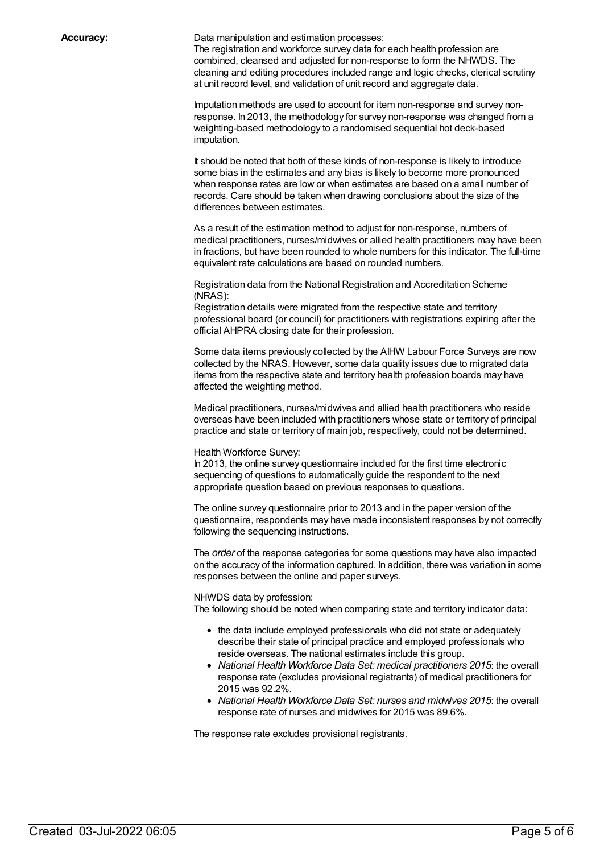**Accuracy:** Data manipulation and estimation processes:

The registration and workforce survey data for each health profession are combined, cleansed and adjusted for non-response to form the NHWDS. The cleaning and editing procedures included range and logic checks, clerical scrutiny at unit record level, and validation of unit record and aggregate data.

Imputation methods are used to account for item non-response and survey nonresponse. In 2013, the methodology for survey non-response was changed from a weighting-based methodology to a randomised sequential hot deck-based imputation.

It should be noted that both of these kinds of non-response is likely to introduce some bias in the estimates and any bias is likely to become more pronounced when response rates are low or when estimates are based on a small number of records. Care should be taken when drawing conclusions about the size of the differences between estimates.

As a result of the estimation method to adjust for non-response, numbers of medical practitioners, nurses/midwives or allied health practitioners may have been in fractions, but have been rounded to whole numbers for this indicator. The full-time equivalent rate calculations are based on rounded numbers.

Registration data from the National Registration and Accreditation Scheme (NRAS):

Registration details were migrated from the respective state and territory professional board (or council) for practitioners with registrations expiring after the official AHPRA closing date for their profession.

Some data items previously collected by the AIHW Labour Force Surveys are now collected by the NRAS. However, some data quality issues due to migrated data items from the respective state and territory health profession boards may have affected the weighting method.

Medical practitioners, nurses/midwives and allied health practitioners who reside overseas have been included with practitioners whose state or territory of principal practice and state or territory of main job, respectively, could not be determined.

#### Health Workforce Survey:

In 2013, the online survey questionnaire included for the first time electronic sequencing of questions to automatically guide the respondent to the next appropriate question based on previous responses to questions.

The online survey questionnaire prior to 2013 and in the paper version of the questionnaire, respondents may have made inconsistent responses by not correctly following the sequencing instructions.

The *order* of the response categories for some questions may have also impacted on the accuracy of the information captured. In addition, there was variation in some responses between the online and paper surveys.

#### NHWDS data by profession:

The following should be noted when comparing state and territory indicator data:

- the data include employed professionals who did not state or adequately describe their state of principal practice and employed professionals who reside overseas. The national estimates include this group.
- *National Health Workforce Data Set: medical practitioners 2015*: the overall response rate (excludes provisional registrants) of medical practitioners for 2015 was 92.2%.
- *National Health Workforce Data Set: nurses and midwives 2015*: the overall response rate of nurses and midwives for 2015 was 89.6%.

The response rate excludes provisional registrants.